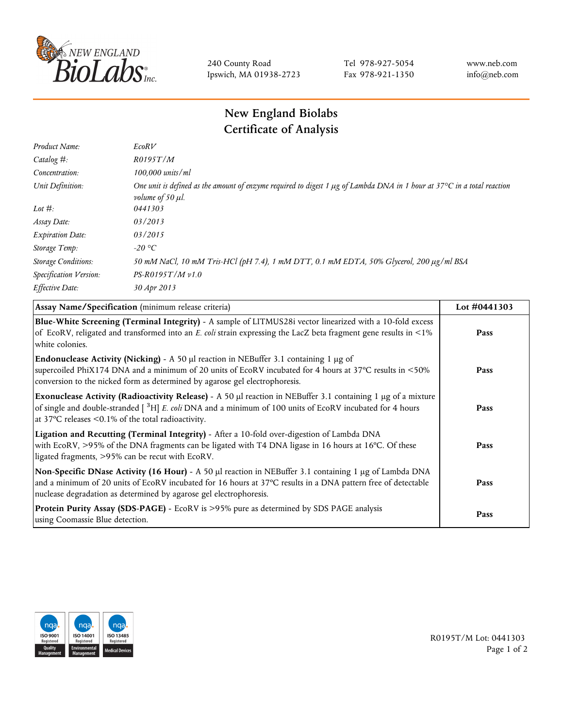

240 County Road Ipswich, MA 01938-2723 Tel 978-927-5054 Fax 978-921-1350 www.neb.com info@neb.com

## **New England Biolabs Certificate of Analysis**

| Product Name:              | EcoRV                                                                                                                                                                            |
|----------------------------|----------------------------------------------------------------------------------------------------------------------------------------------------------------------------------|
| Catalog $#$ :              | R0195T/M                                                                                                                                                                         |
| Concentration:             | $100,000$ units/ml                                                                                                                                                               |
| Unit Definition:           | One unit is defined as the amount of enzyme required to digest 1 $\mu$ g of Lambda DNA in 1 hour at 37 $\degree$ C in a total reaction<br><i>volume of 50 <math>\mu</math>l.</i> |
| Lot $#$ :                  | 0441303                                                                                                                                                                          |
| Assay Date:                | 03/2013                                                                                                                                                                          |
| <b>Expiration Date:</b>    | 03/2015                                                                                                                                                                          |
| Storage Temp:              | $-20$ °C                                                                                                                                                                         |
| <b>Storage Conditions:</b> | 50 mM NaCl, 10 mM Tris-HCl (pH 7.4), 1 mM DTT, 0.1 mM EDTA, 50% Glycerol, 200 µg/ml BSA                                                                                          |
| Specification Version:     | PS-R0195T/M v1.0                                                                                                                                                                 |
| Effective Date:            | 30 Apr 2013                                                                                                                                                                      |
|                            |                                                                                                                                                                                  |

| Assay Name/Specification (minimum release criteria)                                                                                                                                                                                                                                               | Lot #0441303 |
|---------------------------------------------------------------------------------------------------------------------------------------------------------------------------------------------------------------------------------------------------------------------------------------------------|--------------|
| Blue-White Screening (Terminal Integrity) - A sample of LITMUS28i vector linearized with a 10-fold excess<br>of EcoRV, religated and transformed into an E. coli strain expressing the LacZ beta fragment gene results in <1%<br>white colonies.                                                  | Pass         |
| <b>Endonuclease Activity (Nicking)</b> - A 50 $\mu$ I reaction in NEBuffer 3.1 containing 1 $\mu$ g of<br>supercoiled PhiX174 DNA and a minimum of 20 units of EcoRV incubated for 4 hours at 37°C results in <50%<br>conversion to the nicked form as determined by agarose gel electrophoresis. | Pass         |
| Exonuclease Activity (Radioactivity Release) - A 50 µl reaction in NEBuffer 3.1 containing 1 µg of a mixture<br>of single and double-stranded $\int^3 H$ E. coli DNA and a minimum of 100 units of EcoRV incubated for 4 hours<br>at 37 $\degree$ C releases < 0.1% of the total radioactivity.   | Pass         |
| Ligation and Recutting (Terminal Integrity) - After a 10-fold over-digestion of Lambda DNA<br>with EcoRV, >95% of the DNA fragments can be ligated with T4 DNA ligase in 16 hours at 16°C. Of these<br>ligated fragments, >95% can be recut with EcoRV.                                           | Pass         |
| Non-Specific DNase Activity (16 Hour) - A 50 µl reaction in NEBuffer 3.1 containing 1 µg of Lambda DNA<br>and a minimum of 20 units of EcoRV incubated for 16 hours at 37°C results in a DNA pattern free of detectable<br>nuclease degradation as determined by agarose gel electrophoresis.     | Pass         |
| Protein Purity Assay (SDS-PAGE) - EcoRV is >95% pure as determined by SDS PAGE analysis<br>using Coomassie Blue detection.                                                                                                                                                                        | Pass         |



R0195T/M Lot: 0441303 Page 1 of 2